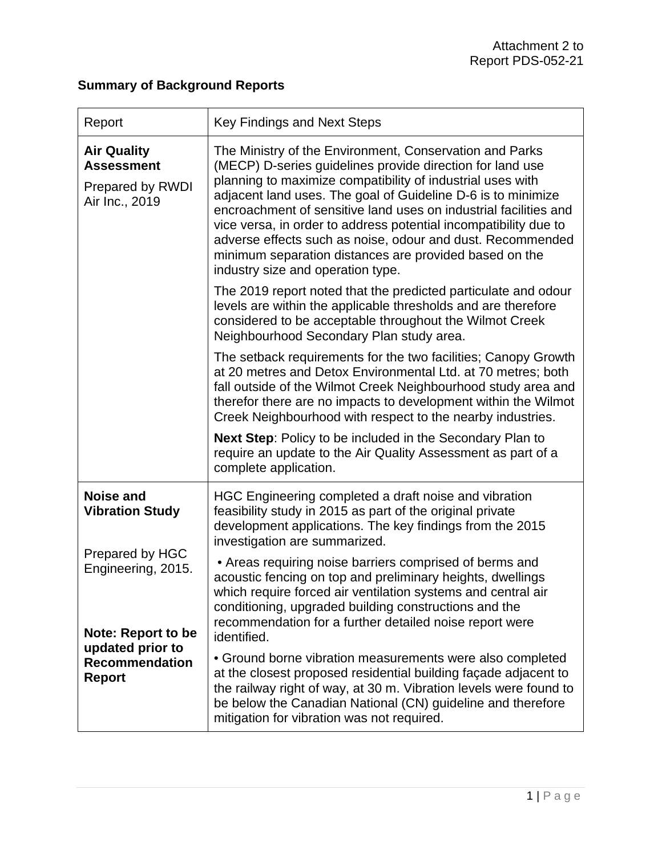## **Summary of Background Reports**

| Report                                                                        | <b>Key Findings and Next Steps</b>                                                                                                                                                                                                                                                                                                                                                                                                                                                                                                                      |
|-------------------------------------------------------------------------------|---------------------------------------------------------------------------------------------------------------------------------------------------------------------------------------------------------------------------------------------------------------------------------------------------------------------------------------------------------------------------------------------------------------------------------------------------------------------------------------------------------------------------------------------------------|
| <b>Air Quality</b><br><b>Assessment</b><br>Prepared by RWDI<br>Air Inc., 2019 | The Ministry of the Environment, Conservation and Parks<br>(MECP) D-series quidelines provide direction for land use<br>planning to maximize compatibility of industrial uses with<br>adjacent land uses. The goal of Guideline D-6 is to minimize<br>encroachment of sensitive land uses on industrial facilities and<br>vice versa, in order to address potential incompatibility due to<br>adverse effects such as noise, odour and dust. Recommended<br>minimum separation distances are provided based on the<br>industry size and operation type. |
|                                                                               | The 2019 report noted that the predicted particulate and odour<br>levels are within the applicable thresholds and are therefore<br>considered to be acceptable throughout the Wilmot Creek<br>Neighbourhood Secondary Plan study area.                                                                                                                                                                                                                                                                                                                  |
|                                                                               | The setback requirements for the two facilities; Canopy Growth<br>at 20 metres and Detox Environmental Ltd. at 70 metres; both<br>fall outside of the Wilmot Creek Neighbourhood study area and<br>therefor there are no impacts to development within the Wilmot<br>Creek Neighbourhood with respect to the nearby industries.                                                                                                                                                                                                                         |
|                                                                               | <b>Next Step:</b> Policy to be included in the Secondary Plan to<br>require an update to the Air Quality Assessment as part of a<br>complete application.                                                                                                                                                                                                                                                                                                                                                                                               |
| <b>Noise and</b><br><b>Vibration Study</b>                                    | HGC Engineering completed a draft noise and vibration<br>feasibility study in 2015 as part of the original private<br>development applications. The key findings from the 2015<br>investigation are summarized.                                                                                                                                                                                                                                                                                                                                         |
| Prepared by HGC<br>Engineering, 2015.<br><b>Note: Report to be</b>            | • Areas requiring noise barriers comprised of berms and<br>acoustic fencing on top and preliminary heights, dwellings<br>which require forced air ventilation systems and central air<br>conditioning, upgraded building constructions and the<br>recommendation for a further detailed noise report were<br>identified.                                                                                                                                                                                                                                |
| updated prior to<br><b>Recommendation</b><br><b>Report</b>                    | • Ground borne vibration measurements were also completed<br>at the closest proposed residential building façade adjacent to<br>the railway right of way, at 30 m. Vibration levels were found to<br>be below the Canadian National (CN) guideline and therefore<br>mitigation for vibration was not required.                                                                                                                                                                                                                                          |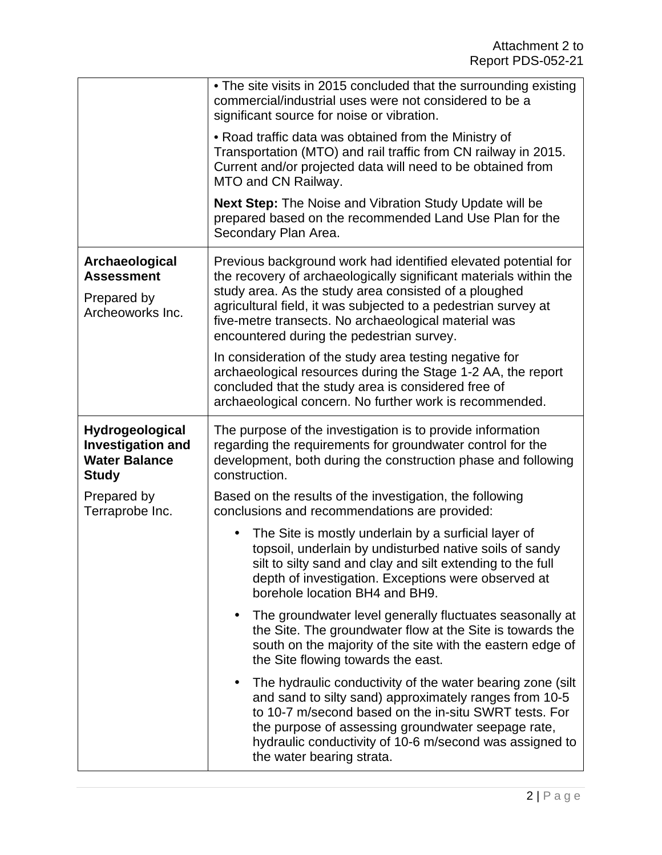|                                                                                     | • The site visits in 2015 concluded that the surrounding existing<br>commercial/industrial uses were not considered to be a<br>significant source for noise or vibration.                                                                                                           |
|-------------------------------------------------------------------------------------|-------------------------------------------------------------------------------------------------------------------------------------------------------------------------------------------------------------------------------------------------------------------------------------|
|                                                                                     | • Road traffic data was obtained from the Ministry of<br>Transportation (MTO) and rail traffic from CN railway in 2015.<br>Current and/or projected data will need to be obtained from<br>MTO and CN Railway.                                                                       |
|                                                                                     | <b>Next Step:</b> The Noise and Vibration Study Update will be<br>prepared based on the recommended Land Use Plan for the<br>Secondary Plan Area.                                                                                                                                   |
| Archaeological<br><b>Assessment</b>                                                 | Previous background work had identified elevated potential for<br>the recovery of archaeologically significant materials within the                                                                                                                                                 |
| Prepared by<br>Archeoworks Inc.                                                     | study area. As the study area consisted of a ploughed<br>agricultural field, it was subjected to a pedestrian survey at<br>five-metre transects. No archaeological material was<br>encountered during the pedestrian survey.                                                        |
|                                                                                     | In consideration of the study area testing negative for<br>archaeological resources during the Stage 1-2 AA, the report<br>concluded that the study area is considered free of<br>archaeological concern. No further work is recommended.                                           |
| Hydrogeological<br><b>Investigation and</b><br><b>Water Balance</b><br><b>Study</b> | The purpose of the investigation is to provide information<br>regarding the requirements for groundwater control for the<br>development, both during the construction phase and following<br>construction.                                                                          |
|                                                                                     |                                                                                                                                                                                                                                                                                     |
| Prepared by<br>Terraprobe Inc.                                                      | Based on the results of the investigation, the following<br>conclusions and recommendations are provided:                                                                                                                                                                           |
|                                                                                     | The Site is mostly underlain by a surficial layer of<br>$\bullet$<br>topsoil, underlain by undisturbed native soils of sandy<br>silt to silty sand and clay and silt extending to the full<br>depth of investigation. Exceptions were observed at<br>borehole location BH4 and BH9. |
|                                                                                     | The groundwater level generally fluctuates seasonally at<br>$\bullet$<br>the Site. The groundwater flow at the Site is towards the<br>south on the majority of the site with the eastern edge of<br>the Site flowing towards the east.                                              |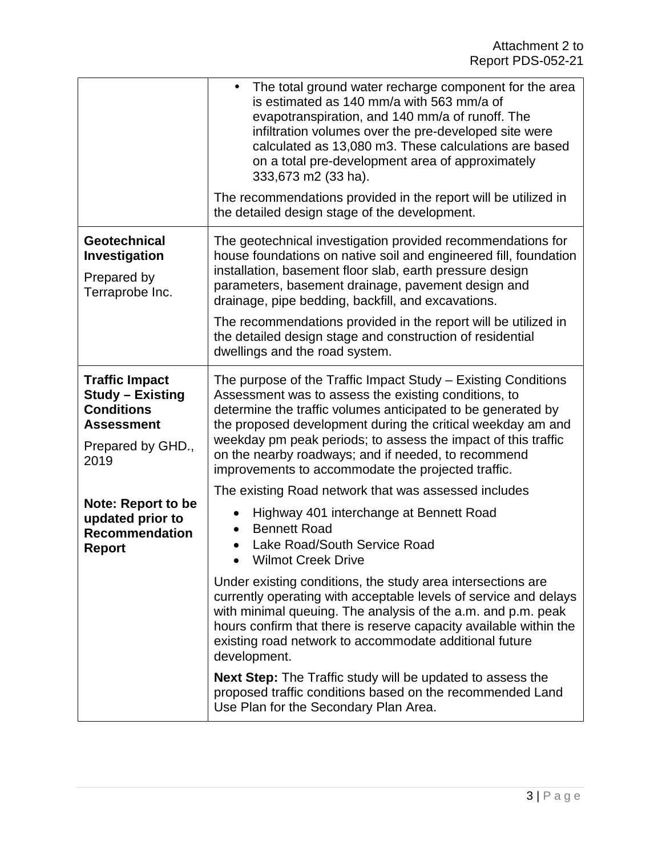|                                                                                                                         | The total ground water recharge component for the area<br>$\bullet$<br>is estimated as 140 mm/a with 563 mm/a of<br>evapotranspiration, and 140 mm/a of runoff. The<br>infiltration volumes over the pre-developed site were<br>calculated as 13,080 m3. These calculations are based<br>on a total pre-development area of approximately<br>333,673 m2 (33 ha).<br>The recommendations provided in the report will be utilized in<br>the detailed design stage of the development.                                                                                                                                                                                                                       |
|-------------------------------------------------------------------------------------------------------------------------|-----------------------------------------------------------------------------------------------------------------------------------------------------------------------------------------------------------------------------------------------------------------------------------------------------------------------------------------------------------------------------------------------------------------------------------------------------------------------------------------------------------------------------------------------------------------------------------------------------------------------------------------------------------------------------------------------------------|
| Geotechnical<br>Investigation<br>Prepared by<br>Terraprobe Inc.                                                         | The geotechnical investigation provided recommendations for<br>house foundations on native soil and engineered fill, foundation<br>installation, basement floor slab, earth pressure design<br>parameters, basement drainage, pavement design and<br>drainage, pipe bedding, backfill, and excavations.<br>The recommendations provided in the report will be utilized in<br>the detailed design stage and construction of residential<br>dwellings and the road system.                                                                                                                                                                                                                                  |
| <b>Traffic Impact</b><br><b>Study - Existing</b><br><b>Conditions</b><br><b>Assessment</b><br>Prepared by GHD.,<br>2019 | The purpose of the Traffic Impact Study – Existing Conditions<br>Assessment was to assess the existing conditions, to<br>determine the traffic volumes anticipated to be generated by<br>the proposed development during the critical weekday am and<br>weekday pm peak periods; to assess the impact of this traffic<br>on the nearby roadways; and if needed, to recommend<br>improvements to accommodate the projected traffic.                                                                                                                                                                                                                                                                        |
| <b>Note: Report to be</b><br>updated prior to<br><b>Recommendation</b><br><b>Report</b>                                 | The existing Road network that was assessed includes<br>Highway 401 interchange at Bennett Road<br><b>Bennett Road</b><br>Lake Road/South Service Road<br><b>Wilmot Creek Drive</b><br>Under existing conditions, the study area intersections are<br>currently operating with acceptable levels of service and delays<br>with minimal queuing. The analysis of the a.m. and p.m. peak<br>hours confirm that there is reserve capacity available within the<br>existing road network to accommodate additional future<br>development.<br>Next Step: The Traffic study will be updated to assess the<br>proposed traffic conditions based on the recommended Land<br>Use Plan for the Secondary Plan Area. |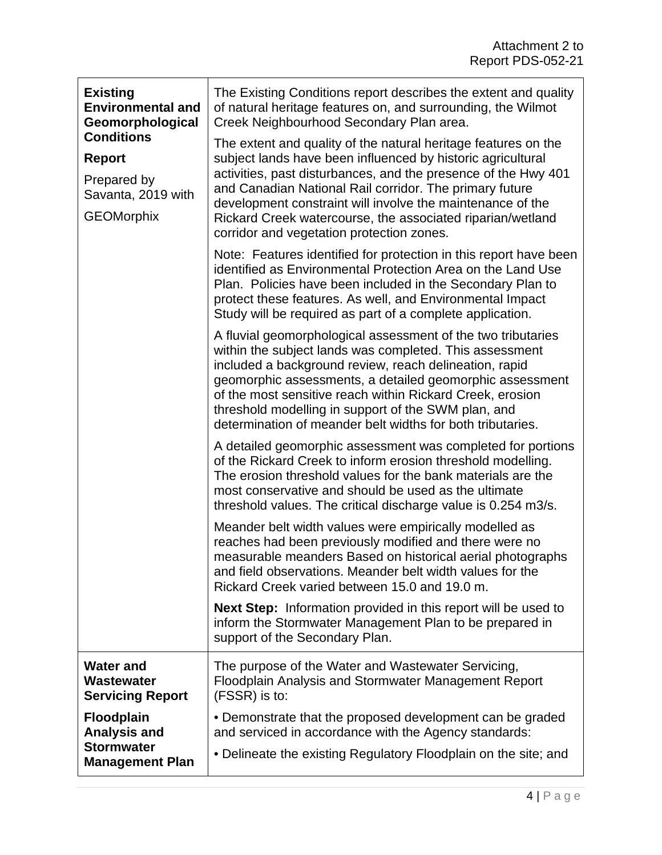| <b>Existing</b><br><b>Environmental and</b><br>Geomorphological<br><b>Conditions</b> | The Existing Conditions report describes the extent and quality<br>of natural heritage features on, and surrounding, the Wilmot<br>Creek Neighbourhood Secondary Plan area.                                                                                                                                                                                                                                                     |
|--------------------------------------------------------------------------------------|---------------------------------------------------------------------------------------------------------------------------------------------------------------------------------------------------------------------------------------------------------------------------------------------------------------------------------------------------------------------------------------------------------------------------------|
| <b>Report</b><br>Prepared by<br>Savanta, 2019 with<br><b>GEOMorphix</b>              | The extent and quality of the natural heritage features on the<br>subject lands have been influenced by historic agricultural<br>activities, past disturbances, and the presence of the Hwy 401<br>and Canadian National Rail corridor. The primary future                                                                                                                                                                      |
|                                                                                      | development constraint will involve the maintenance of the<br>Rickard Creek watercourse, the associated riparian/wetland<br>corridor and vegetation protection zones.                                                                                                                                                                                                                                                           |
|                                                                                      | Note: Features identified for protection in this report have been<br>identified as Environmental Protection Area on the Land Use<br>Plan. Policies have been included in the Secondary Plan to<br>protect these features. As well, and Environmental Impact<br>Study will be required as part of a complete application.                                                                                                        |
|                                                                                      | A fluvial geomorphological assessment of the two tributaries<br>within the subject lands was completed. This assessment<br>included a background review, reach delineation, rapid<br>geomorphic assessments, a detailed geomorphic assessment<br>of the most sensitive reach within Rickard Creek, erosion<br>threshold modelling in support of the SWM plan, and<br>determination of meander belt widths for both tributaries. |
|                                                                                      | A detailed geomorphic assessment was completed for portions<br>of the Rickard Creek to inform erosion threshold modelling.<br>The erosion threshold values for the bank materials are the<br>most conservative and should be used as the ultimate<br>threshold values. The critical discharge value is 0.254 m3/s.                                                                                                              |
|                                                                                      | Meander belt width values were empirically modelled as<br>reaches had been previously modified and there were no<br>measurable meanders Based on historical aerial photographs<br>and field observations. Meander belt width values for the<br>Rickard Creek varied between 15.0 and 19.0 m.                                                                                                                                    |
|                                                                                      | <b>Next Step:</b> Information provided in this report will be used to<br>inform the Stormwater Management Plan to be prepared in<br>support of the Secondary Plan.                                                                                                                                                                                                                                                              |
| <b>Water and</b><br>Wastewater<br><b>Servicing Report</b>                            | The purpose of the Water and Wastewater Servicing,<br>Floodplain Analysis and Stormwater Management Report<br>(FSSR) is to:                                                                                                                                                                                                                                                                                                     |
| <b>Floodplain</b><br><b>Analysis and</b>                                             | • Demonstrate that the proposed development can be graded<br>and serviced in accordance with the Agency standards:                                                                                                                                                                                                                                                                                                              |
| <b>Stormwater</b><br><b>Management Plan</b>                                          | • Delineate the existing Regulatory Floodplain on the site; and                                                                                                                                                                                                                                                                                                                                                                 |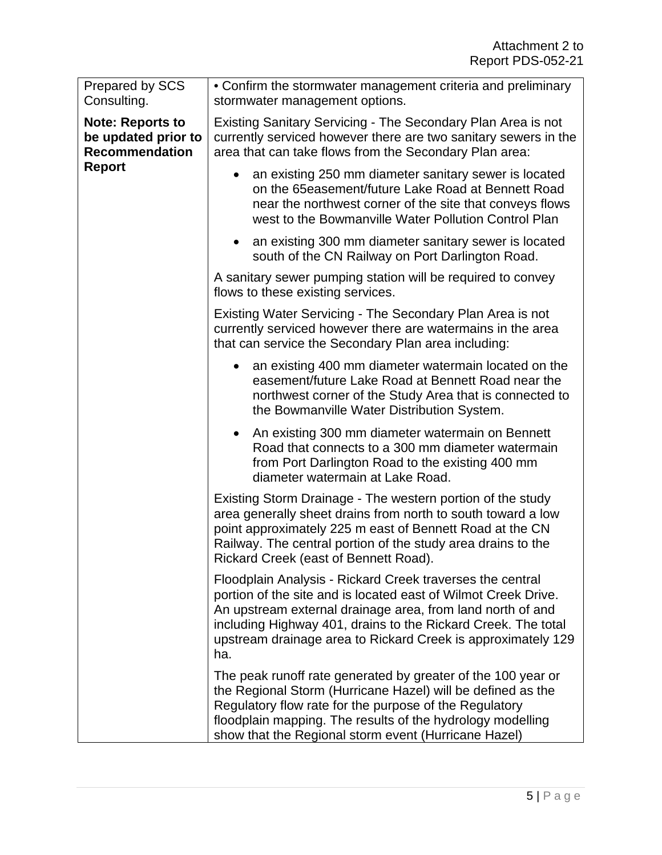| Prepared by SCS<br>Consulting.                                                           | • Confirm the stormwater management criteria and preliminary<br>stormwater management options.                                                                                                                                                                                                                                    |
|------------------------------------------------------------------------------------------|-----------------------------------------------------------------------------------------------------------------------------------------------------------------------------------------------------------------------------------------------------------------------------------------------------------------------------------|
| <b>Note: Reports to</b><br>be updated prior to<br><b>Recommendation</b><br><b>Report</b> | Existing Sanitary Servicing - The Secondary Plan Area is not<br>currently serviced however there are two sanitary sewers in the<br>area that can take flows from the Secondary Plan area:                                                                                                                                         |
|                                                                                          | an existing 250 mm diameter sanitary sewer is located<br>$\bullet$<br>on the 65easement/future Lake Road at Bennett Road<br>near the northwest corner of the site that conveys flows<br>west to the Bowmanville Water Pollution Control Plan                                                                                      |
|                                                                                          | an existing 300 mm diameter sanitary sewer is located<br>$\bullet$<br>south of the CN Railway on Port Darlington Road.                                                                                                                                                                                                            |
|                                                                                          | A sanitary sewer pumping station will be required to convey<br>flows to these existing services.                                                                                                                                                                                                                                  |
|                                                                                          | Existing Water Servicing - The Secondary Plan Area is not<br>currently serviced however there are watermains in the area<br>that can service the Secondary Plan area including:                                                                                                                                                   |
|                                                                                          | an existing 400 mm diameter watermain located on the<br>$\bullet$<br>easement/future Lake Road at Bennett Road near the<br>northwest corner of the Study Area that is connected to<br>the Bowmanville Water Distribution System.                                                                                                  |
|                                                                                          | An existing 300 mm diameter watermain on Bennett<br>Road that connects to a 300 mm diameter watermain<br>from Port Darlington Road to the existing 400 mm<br>diameter watermain at Lake Road.                                                                                                                                     |
|                                                                                          | Existing Storm Drainage - The western portion of the study<br>area generally sheet drains from north to south toward a low<br>point approximately 225 m east of Bennett Road at the CN<br>Railway. The central portion of the study area drains to the<br>Rickard Creek (east of Bennett Road)                                    |
|                                                                                          | Floodplain Analysis - Rickard Creek traverses the central<br>portion of the site and is located east of Wilmot Creek Drive.<br>An upstream external drainage area, from land north of and<br>including Highway 401, drains to the Rickard Creek. The total<br>upstream drainage area to Rickard Creek is approximately 129<br>ha. |
|                                                                                          | The peak runoff rate generated by greater of the 100 year or<br>the Regional Storm (Hurricane Hazel) will be defined as the<br>Regulatory flow rate for the purpose of the Regulatory<br>floodplain mapping. The results of the hydrology modelling<br>show that the Regional storm event (Hurricane Hazel)                       |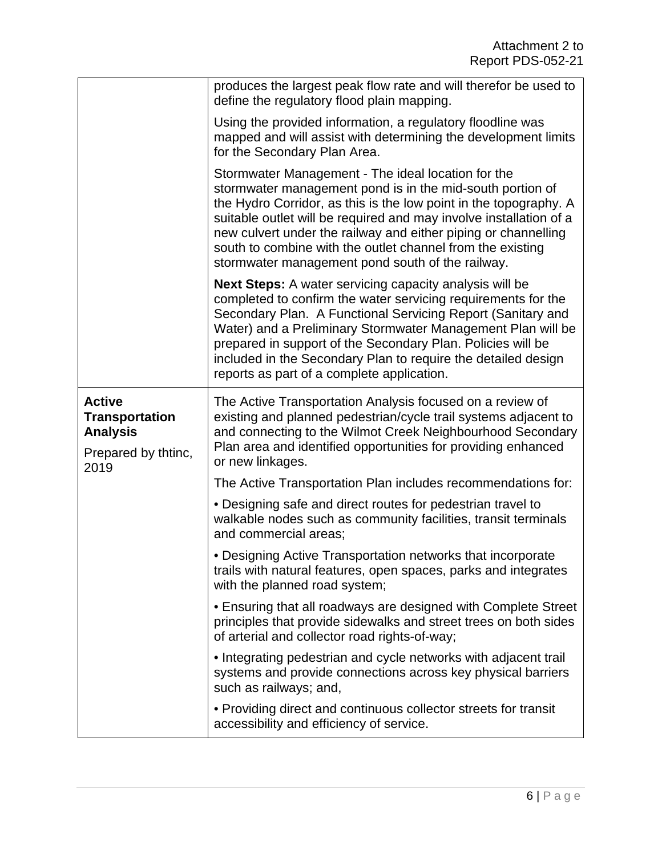|                                                                                          | produces the largest peak flow rate and will therefor be used to<br>define the regulatory flood plain mapping.                                                                                                                                                                                                                                                                                                                                 |
|------------------------------------------------------------------------------------------|------------------------------------------------------------------------------------------------------------------------------------------------------------------------------------------------------------------------------------------------------------------------------------------------------------------------------------------------------------------------------------------------------------------------------------------------|
|                                                                                          | Using the provided information, a regulatory floodline was<br>mapped and will assist with determining the development limits<br>for the Secondary Plan Area.                                                                                                                                                                                                                                                                                   |
|                                                                                          | Stormwater Management - The ideal location for the<br>stormwater management pond is in the mid-south portion of<br>the Hydro Corridor, as this is the low point in the topography. A<br>suitable outlet will be required and may involve installation of a<br>new culvert under the railway and either piping or channelling<br>south to combine with the outlet channel from the existing<br>stormwater management pond south of the railway. |
|                                                                                          | <b>Next Steps:</b> A water servicing capacity analysis will be<br>completed to confirm the water servicing requirements for the<br>Secondary Plan. A Functional Servicing Report (Sanitary and<br>Water) and a Preliminary Stormwater Management Plan will be<br>prepared in support of the Secondary Plan. Policies will be<br>included in the Secondary Plan to require the detailed design<br>reports as part of a complete application.    |
| <b>Active</b><br><b>Transportation</b><br><b>Analysis</b><br>Prepared by thtinc,<br>2019 | The Active Transportation Analysis focused on a review of<br>existing and planned pedestrian/cycle trail systems adjacent to<br>and connecting to the Wilmot Creek Neighbourhood Secondary<br>Plan area and identified opportunities for providing enhanced<br>or new linkages.                                                                                                                                                                |
|                                                                                          | The Active Transportation Plan includes recommendations for:                                                                                                                                                                                                                                                                                                                                                                                   |
|                                                                                          | • Designing safe and direct routes for pedestrian travel to<br>walkable nodes such as community facilities, transit terminals<br>and commercial areas;                                                                                                                                                                                                                                                                                         |
|                                                                                          | • Designing Active Transportation networks that incorporate<br>trails with natural features, open spaces, parks and integrates<br>with the planned road system;                                                                                                                                                                                                                                                                                |
|                                                                                          | • Ensuring that all roadways are designed with Complete Street<br>principles that provide sidewalks and street trees on both sides<br>of arterial and collector road rights-of-way;                                                                                                                                                                                                                                                            |
|                                                                                          | • Integrating pedestrian and cycle networks with adjacent trail<br>systems and provide connections across key physical barriers<br>such as railways; and,                                                                                                                                                                                                                                                                                      |
|                                                                                          | • Providing direct and continuous collector streets for transit<br>accessibility and efficiency of service.                                                                                                                                                                                                                                                                                                                                    |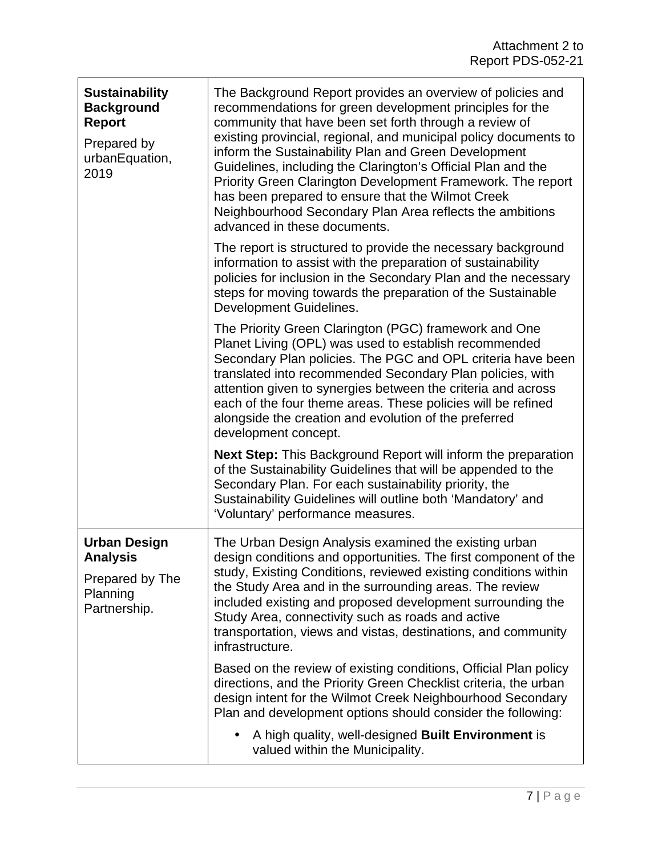| <b>Sustainability</b><br><b>Background</b><br><b>Report</b><br>Prepared by<br>urbanEquation,<br>2019 | The Background Report provides an overview of policies and<br>recommendations for green development principles for the<br>community that have been set forth through a review of<br>existing provincial, regional, and municipal policy documents to<br>inform the Sustainability Plan and Green Development<br>Guidelines, including the Clarington's Official Plan and the<br>Priority Green Clarington Development Framework. The report<br>has been prepared to ensure that the Wilmot Creek<br>Neighbourhood Secondary Plan Area reflects the ambitions<br>advanced in these documents. |
|------------------------------------------------------------------------------------------------------|----------------------------------------------------------------------------------------------------------------------------------------------------------------------------------------------------------------------------------------------------------------------------------------------------------------------------------------------------------------------------------------------------------------------------------------------------------------------------------------------------------------------------------------------------------------------------------------------|
|                                                                                                      | The report is structured to provide the necessary background<br>information to assist with the preparation of sustainability<br>policies for inclusion in the Secondary Plan and the necessary<br>steps for moving towards the preparation of the Sustainable<br>Development Guidelines.                                                                                                                                                                                                                                                                                                     |
|                                                                                                      | The Priority Green Clarington (PGC) framework and One<br>Planet Living (OPL) was used to establish recommended<br>Secondary Plan policies. The PGC and OPL criteria have been<br>translated into recommended Secondary Plan policies, with<br>attention given to synergies between the criteria and across<br>each of the four theme areas. These policies will be refined<br>alongside the creation and evolution of the preferred<br>development concept.                                                                                                                                  |
|                                                                                                      | Next Step: This Background Report will inform the preparation<br>of the Sustainability Guidelines that will be appended to the<br>Secondary Plan. For each sustainability priority, the<br>Sustainability Guidelines will outline both 'Mandatory' and<br>'Voluntary' performance measures.                                                                                                                                                                                                                                                                                                  |
| <b>Urban Design</b><br><b>Analysis</b><br>Prepared by The<br>Planning<br>Partnership.                | The Urban Design Analysis examined the existing urban<br>design conditions and opportunities. The first component of the<br>study, Existing Conditions, reviewed existing conditions within<br>the Study Area and in the surrounding areas. The review<br>included existing and proposed development surrounding the<br>Study Area, connectivity such as roads and active<br>transportation, views and vistas, destinations, and community<br>infrastructure.                                                                                                                                |
|                                                                                                      | Based on the review of existing conditions, Official Plan policy<br>directions, and the Priority Green Checklist criteria, the urban<br>design intent for the Wilmot Creek Neighbourhood Secondary<br>Plan and development options should consider the following:                                                                                                                                                                                                                                                                                                                            |
|                                                                                                      | A high quality, well-designed Built Environment is<br>$\bullet$<br>valued within the Municipality.                                                                                                                                                                                                                                                                                                                                                                                                                                                                                           |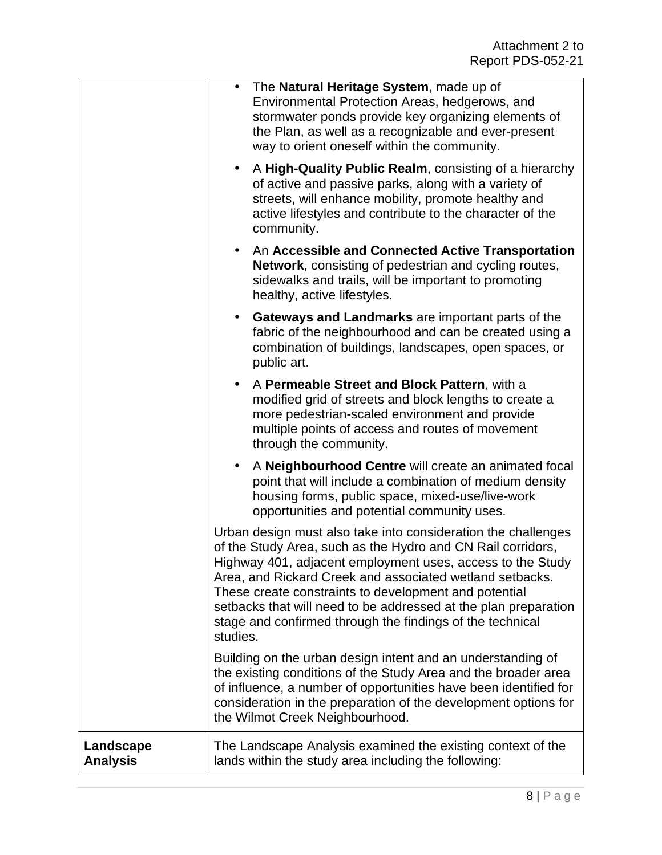|                              | The Natural Heritage System, made up of<br>$\bullet$<br>Environmental Protection Areas, hedgerows, and<br>stormwater ponds provide key organizing elements of<br>the Plan, as well as a recognizable and ever-present<br>way to orient oneself within the community.                                                                                                                                                                                        |
|------------------------------|-------------------------------------------------------------------------------------------------------------------------------------------------------------------------------------------------------------------------------------------------------------------------------------------------------------------------------------------------------------------------------------------------------------------------------------------------------------|
|                              | A High-Quality Public Realm, consisting of a hierarchy<br>$\bullet$<br>of active and passive parks, along with a variety of<br>streets, will enhance mobility, promote healthy and<br>active lifestyles and contribute to the character of the<br>community.                                                                                                                                                                                                |
|                              | An Accessible and Connected Active Transportation<br>$\bullet$<br>Network, consisting of pedestrian and cycling routes,<br>sidewalks and trails, will be important to promoting<br>healthy, active lifestyles.                                                                                                                                                                                                                                              |
|                              | Gateways and Landmarks are important parts of the<br>$\bullet$<br>fabric of the neighbourhood and can be created using a<br>combination of buildings, landscapes, open spaces, or<br>public art.                                                                                                                                                                                                                                                            |
|                              | A Permeable Street and Block Pattern, with a<br>$\bullet$<br>modified grid of streets and block lengths to create a<br>more pedestrian-scaled environment and provide<br>multiple points of access and routes of movement<br>through the community.                                                                                                                                                                                                         |
|                              | A Neighbourhood Centre will create an animated focal<br>$\bullet$<br>point that will include a combination of medium density<br>housing forms, public space, mixed-use/live-work<br>opportunities and potential community uses.                                                                                                                                                                                                                             |
|                              | Urban design must also take into consideration the challenges<br>of the Study Area, such as the Hydro and CN Rail corridors,<br>Highway 401, adjacent employment uses, access to the Study<br>Area, and Rickard Creek and associated wetland setbacks.<br>These create constraints to development and potential<br>setbacks that will need to be addressed at the plan preparation<br>stage and confirmed through the findings of the technical<br>studies. |
|                              | Building on the urban design intent and an understanding of<br>the existing conditions of the Study Area and the broader area<br>of influence, a number of opportunities have been identified for<br>consideration in the preparation of the development options for<br>the Wilmot Creek Neighbourhood.                                                                                                                                                     |
| Landscape<br><b>Analysis</b> | The Landscape Analysis examined the existing context of the<br>lands within the study area including the following:                                                                                                                                                                                                                                                                                                                                         |